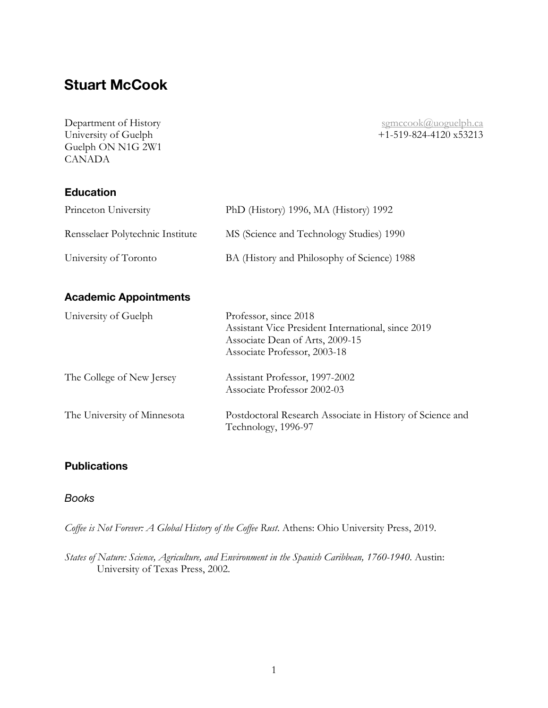# **Stuart McCook**

Guelph ON N1G 2W1 CANADA

Department of History<br>
University of Guelph<br>  $+1-519-824-4120$  x53213  $+1-519-824-4120$  x53213

### **Education**

| Princeton University             | PhD (History) 1996, MA (History) 1992       |
|----------------------------------|---------------------------------------------|
| Rensselaer Polytechnic Institute | MS (Science and Technology Studies) 1990    |
| University of Toronto            | BA (History and Philosophy of Science) 1988 |

## **Academic Appointments**

| University of Guelph        | Professor, since 2018<br>Assistant Vice President International, since 2019<br>Associate Dean of Arts, 2009-15<br>Associate Professor, 2003-18 |
|-----------------------------|------------------------------------------------------------------------------------------------------------------------------------------------|
| The College of New Jersey   | Assistant Professor, 1997-2002<br>Associate Professor 2002-03                                                                                  |
| The University of Minnesota | Postdoctoral Research Associate in History of Science and<br>Technology, 1996-97                                                               |

### **Publications**

### *Books*

*Coffee is Not Forever: A Global History of the Coffee Rust*. Athens: Ohio University Press, 2019.

*States of Nature: Science, Agriculture, and Environment in the Spanish Caribbean, 1760-1940*. Austin: University of Texas Press, 2002.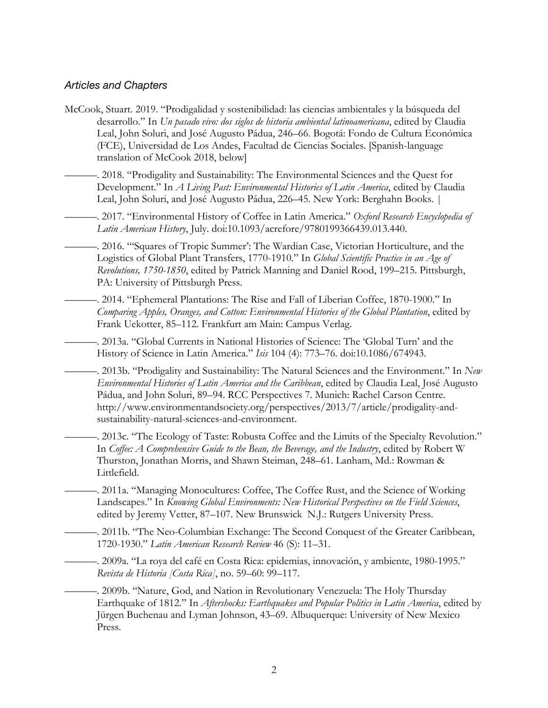#### *Articles and Chapters*

McCook, Stuart. 2019. "Prodigalidad y sostenibilidad: las ciencias ambientales y la búsqueda del desarrollo." In *Un pasado vivo: dos siglos de historia ambiental latinoamericana*, edited by Claudia Leal, John Soluri, and José Augusto Pádua, 246–66. Bogotá: Fondo de Cultura Económica (FCE), Universidad de Los Andes, Facultad de Ciencias Sociales. [Spanish-language translation of McCook 2018, below]

———. 2018. "Prodigality and Sustainability: The Environmental Sciences and the Quest for Development." In *A Living Past: Environmental Histories of Latin America*, edited by Claudia Leal, John Soluri, and José Augusto Pádua, 226–45. New York: Berghahn Books. |

———. 2017. "Environmental History of Coffee in Latin America." *Oxford Research Encyclopedia of Latin American History*, July. doi:10.1093/acrefore/9780199366439.013.440.

———. 2016. "'Squares of Tropic Summer': The Wardian Case, Victorian Horticulture, and the Logistics of Global Plant Transfers, 1770-1910." In *Global Scientific Practice in an Age of Revolutions, 1750-1850*, edited by Patrick Manning and Daniel Rood, 199–215. Pittsburgh, PA: University of Pittsburgh Press.

———. 2014. "Ephemeral Plantations: The Rise and Fall of Liberian Coffee, 1870-1900." In *Comparing Apples, Oranges, and Cotton: Environmental Histories of the Global Plantation*, edited by Frank Uekotter, 85–112. Frankfurt am Main: Campus Verlag.

———. 2013a. "Global Currents in National Histories of Science: The 'Global Turn' and the History of Science in Latin America." *Isis* 104 (4): 773–76. doi:10.1086/674943.

———. 2013b. "Prodigality and Sustainability: The Natural Sciences and the Environment." In *New Environmental Histories of Latin America and the Caribbean*, edited by Claudia Leal, José Augusto Pádua, and John Soluri, 89–94. RCC Perspectives 7. Munich: Rachel Carson Centre. http://www.environmentandsociety.org/perspectives/2013/7/article/prodigality-andsustainability-natural-sciences-and-environment.

———. 2013c. "The Ecology of Taste: Robusta Coffee and the Limits of the Specialty Revolution." In *Coffee: A Comprehensive Guide to the Bean, the Beverage, and the Industry*, edited by Robert W Thurston, Jonathan Morris, and Shawn Steiman, 248–61. Lanham, Md.: Rowman & Littlefield.

———. 2011a. "Managing Monocultures: Coffee, The Coffee Rust, and the Science of Working Landscapes." In *Knowing Global Environments: New Historical Perspectives on the Field Sciences*, edited by Jeremy Vetter, 87–107. New Brunswick N.J.: Rutgers University Press.

———. 2011b. "The Neo-Columbian Exchange: The Second Conquest of the Greater Caribbean, 1720-1930." *Latin American Research Review* 46 (S): 11–31.

———. 2009a. "La roya del café en Costa Rica: epidemias, innovación, y ambiente, 1980-1995." *Revista de Historia [Costa Rica]*, no. 59–60: 99–117.

———. 2009b. "Nature, God, and Nation in Revolutionary Venezuela: The Holy Thursday Earthquake of 1812." In *Aftershocks: Earthquakes and Popular Politics in Latin America*, edited by Jürgen Buchenau and Lyman Johnson, 43–69. Albuquerque: University of New Mexico Press.